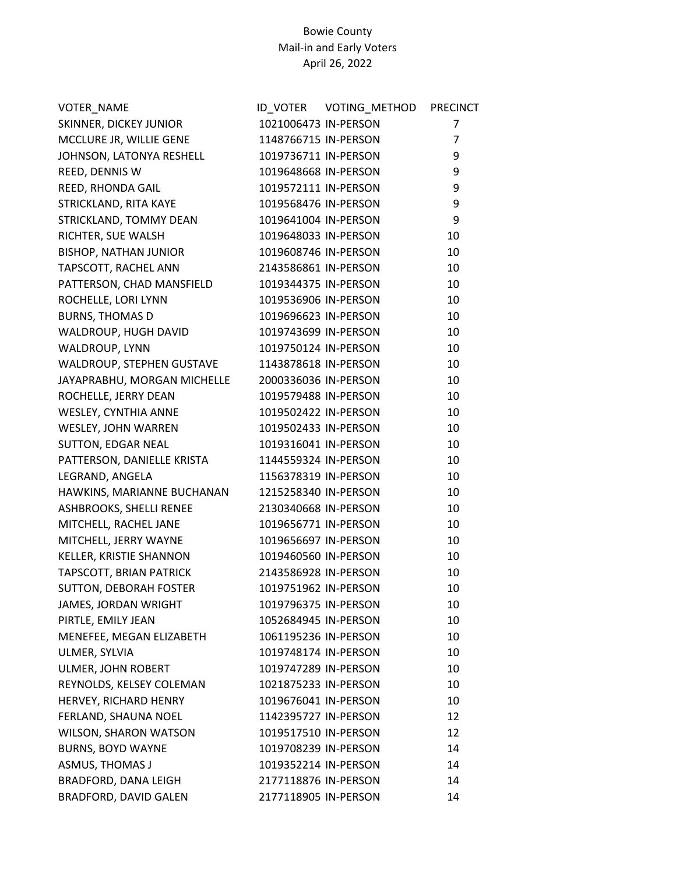| VOTER_NAME                    |                      | ID_VOTER    VOTING_METHOD | <b>PRECINCT</b> |
|-------------------------------|----------------------|---------------------------|-----------------|
| SKINNER, DICKEY JUNIOR        | 1021006473 IN-PERSON |                           | 7               |
| MCCLURE JR, WILLIE GENE       | 1148766715 IN-PERSON |                           | $\overline{7}$  |
| JOHNSON, LATONYA RESHELL      | 1019736711 IN-PERSON |                           | 9               |
| REED, DENNIS W                | 1019648668 IN-PERSON |                           | 9               |
| REED, RHONDA GAIL             | 1019572111 IN-PERSON |                           | 9               |
| STRICKLAND, RITA KAYE         | 1019568476 IN-PERSON |                           | 9               |
| STRICKLAND, TOMMY DEAN        | 1019641004 IN-PERSON |                           | 9               |
| RICHTER, SUE WALSH            | 1019648033 IN-PERSON |                           | 10              |
| <b>BISHOP, NATHAN JUNIOR</b>  | 1019608746 IN-PERSON |                           | 10              |
| TAPSCOTT, RACHEL ANN          | 2143586861 IN-PERSON |                           | 10              |
| PATTERSON, CHAD MANSFIELD     | 1019344375 IN-PERSON |                           | 10              |
| ROCHELLE, LORI LYNN           | 1019536906 IN-PERSON |                           | 10              |
| <b>BURNS, THOMAS D</b>        | 1019696623 IN-PERSON |                           | 10              |
| WALDROUP, HUGH DAVID          | 1019743699 IN-PERSON |                           | 10              |
| WALDROUP, LYNN                | 1019750124 IN-PERSON |                           | 10              |
| WALDROUP, STEPHEN GUSTAVE     | 1143878618 IN-PERSON |                           | 10              |
| JAYAPRABHU, MORGAN MICHELLE   | 2000336036 IN-PERSON |                           | 10              |
| ROCHELLE, JERRY DEAN          | 1019579488 IN-PERSON |                           | 10              |
| WESLEY, CYNTHIA ANNE          | 1019502422 IN-PERSON |                           | 10              |
| WESLEY, JOHN WARREN           | 1019502433 IN-PERSON |                           | 10              |
| SUTTON, EDGAR NEAL            | 1019316041 IN-PERSON |                           | 10              |
| PATTERSON, DANIELLE KRISTA    | 1144559324 IN-PERSON |                           | 10              |
| LEGRAND, ANGELA               | 1156378319 IN-PERSON |                           | 10              |
| HAWKINS, MARIANNE BUCHANAN    | 1215258340 IN-PERSON |                           | 10              |
| ASHBROOKS, SHELLI RENEE       | 2130340668 IN-PERSON |                           | 10              |
| MITCHELL, RACHEL JANE         | 1019656771 IN-PERSON |                           | 10              |
| MITCHELL, JERRY WAYNE         | 1019656697 IN-PERSON |                           | 10              |
| KELLER, KRISTIE SHANNON       | 1019460560 IN-PERSON |                           | 10              |
| TAPSCOTT, BRIAN PATRICK       | 2143586928 IN-PERSON |                           | 10              |
| <b>SUTTON, DEBORAH FOSTER</b> | 1019751962 IN-PERSON |                           | 10              |
| JAMES, JORDAN WRIGHT          | 1019796375 IN-PERSON |                           | 10              |
| PIRTLE, EMILY JEAN            | 1052684945 IN-PERSON |                           | 10              |
| MENEFEE, MEGAN ELIZABETH      | 1061195236 IN-PERSON |                           | 10              |
| ULMER, SYLVIA                 | 1019748174 IN-PERSON |                           | 10              |
| ULMER, JOHN ROBERT            | 1019747289 IN-PERSON |                           | 10              |
| REYNOLDS, KELSEY COLEMAN      | 1021875233 IN-PERSON |                           | 10              |
| HERVEY, RICHARD HENRY         | 1019676041 IN-PERSON |                           | 10              |
| FERLAND, SHAUNA NOEL          | 1142395727 IN-PERSON |                           | 12              |
| WILSON, SHARON WATSON         | 1019517510 IN-PERSON |                           | 12              |
| <b>BURNS, BOYD WAYNE</b>      | 1019708239 IN-PERSON |                           | 14              |
| ASMUS, THOMAS J               | 1019352214 IN-PERSON |                           | 14              |
| BRADFORD, DANA LEIGH          | 2177118876 IN-PERSON |                           | 14              |
| BRADFORD, DAVID GALEN         | 2177118905 IN-PERSON |                           | 14              |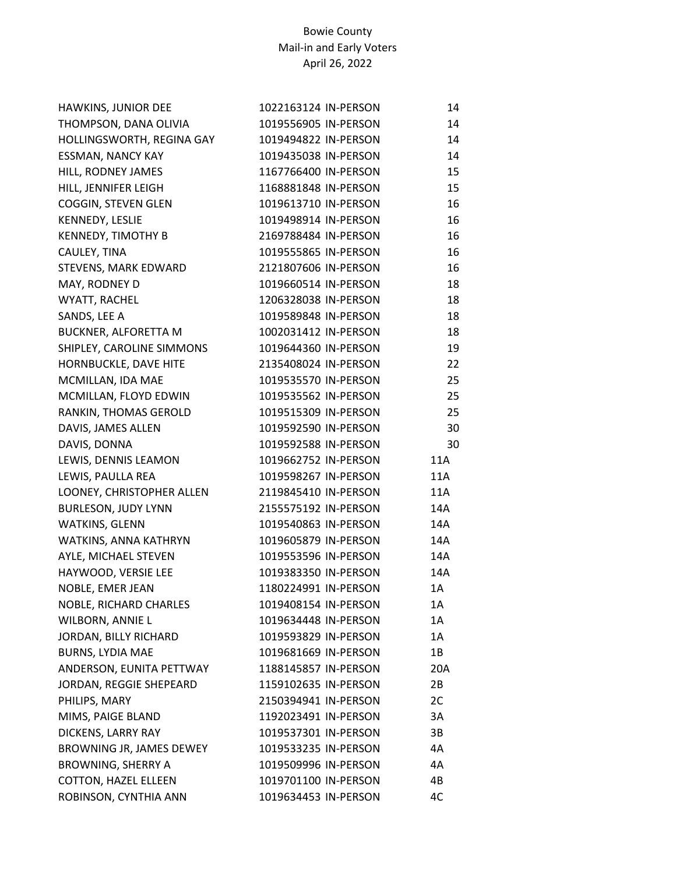| HAWKINS, JUNIOR DEE         | 1022163124 IN-PERSON | 14  |
|-----------------------------|----------------------|-----|
| THOMPSON, DANA OLIVIA       | 1019556905 IN-PERSON | 14  |
| HOLLINGSWORTH, REGINA GAY   | 1019494822 IN-PERSON | 14  |
| <b>ESSMAN, NANCY KAY</b>    | 1019435038 IN-PERSON | 14  |
| HILL, RODNEY JAMES          | 1167766400 IN-PERSON | 15  |
| HILL, JENNIFER LEIGH        | 1168881848 IN-PERSON | 15  |
| COGGIN, STEVEN GLEN         | 1019613710 IN-PERSON | 16  |
| KENNEDY, LESLIE             | 1019498914 IN-PERSON | 16  |
| <b>KENNEDY, TIMOTHY B</b>   | 2169788484 IN-PERSON | 16  |
| CAULEY, TINA                | 1019555865 IN-PERSON | 16  |
| STEVENS, MARK EDWARD        | 2121807606 IN-PERSON | 16  |
| MAY, RODNEY D               | 1019660514 IN-PERSON | 18  |
| WYATT, RACHEL               | 1206328038 IN-PERSON | 18  |
| SANDS, LEE A                | 1019589848 IN-PERSON | 18  |
| BUCKNER, ALFORETTA M        | 1002031412 IN-PERSON | 18  |
| SHIPLEY, CAROLINE SIMMONS   | 1019644360 IN-PERSON | 19  |
| HORNBUCKLE, DAVE HITE       | 2135408024 IN-PERSON | 22  |
| MCMILLAN, IDA MAE           | 1019535570 IN-PERSON | 25  |
| MCMILLAN, FLOYD EDWIN       | 1019535562 IN-PERSON | 25  |
| RANKIN, THOMAS GEROLD       | 1019515309 IN-PERSON | 25  |
| DAVIS, JAMES ALLEN          | 1019592590 IN-PERSON | 30  |
| DAVIS, DONNA                | 1019592588 IN-PERSON | 30  |
| LEWIS, DENNIS LEAMON        | 1019662752 IN-PERSON | 11A |
| LEWIS, PAULLA REA           | 1019598267 IN-PERSON | 11A |
| LOONEY, CHRISTOPHER ALLEN   | 2119845410 IN-PERSON | 11A |
| <b>BURLESON, JUDY LYNN</b>  | 2155575192 IN-PERSON | 14A |
| WATKINS, GLENN              | 1019540863 IN-PERSON | 14A |
| WATKINS, ANNA KATHRYN       | 1019605879 IN-PERSON | 14A |
| AYLE, MICHAEL STEVEN        | 1019553596 IN-PERSON | 14A |
| HAYWOOD, VERSIE LEE         | 1019383350 IN-PERSON | 14A |
| NOBLE, EMER JEAN            | 1180224991 IN-PERSON | 1A  |
| NOBLE, RICHARD CHARLES      | 1019408154 IN-PERSON | 1A  |
| WILBORN, ANNIE L            | 1019634448 IN-PERSON | 1A  |
| JORDAN, BILLY RICHARD       | 1019593829 IN-PERSON | 1A  |
| <b>BURNS, LYDIA MAE</b>     | 1019681669 IN-PERSON | 1B  |
| ANDERSON, EUNITA PETTWAY    | 1188145857 IN-PERSON | 20A |
| JORDAN, REGGIE SHEPEARD     | 1159102635 IN-PERSON | 2B  |
| PHILIPS, MARY               | 2150394941 IN-PERSON | 2C  |
| MIMS, PAIGE BLAND           | 1192023491 IN-PERSON | 3A  |
| DICKENS, LARRY RAY          | 1019537301 IN-PERSON | 3B  |
| BROWNING JR, JAMES DEWEY    | 1019533235 IN-PERSON | 4A  |
| <b>BROWNING, SHERRY A</b>   | 1019509996 IN-PERSON | 4A  |
| <b>COTTON, HAZEL ELLEEN</b> | 1019701100 IN-PERSON | 4B  |
| ROBINSON, CYNTHIA ANN       | 1019634453 IN-PERSON | 4C  |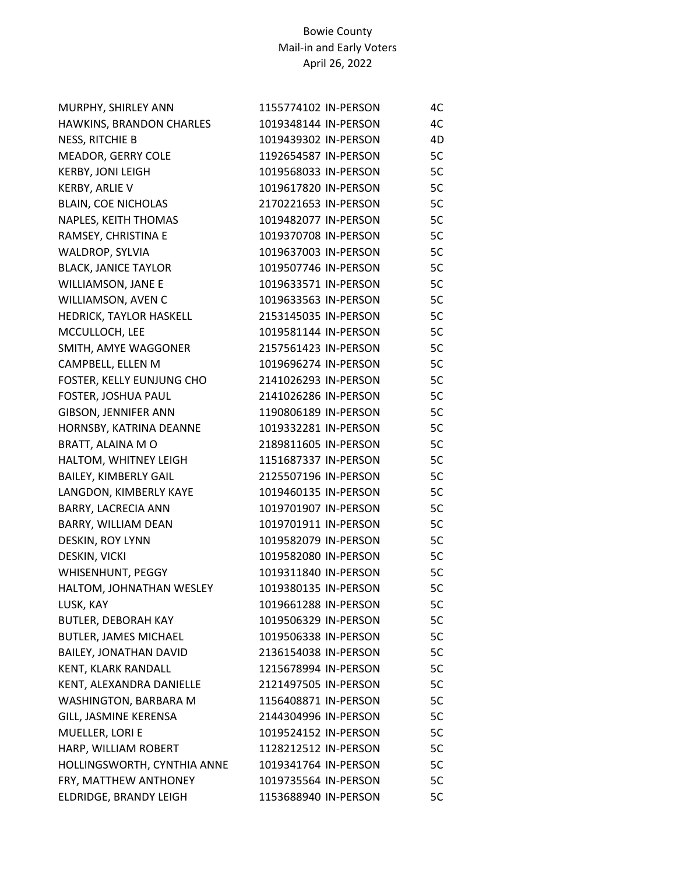| MURPHY, SHIRLEY ANN          | 1155774102 IN-PERSON | 4C |
|------------------------------|----------------------|----|
| HAWKINS, BRANDON CHARLES     | 1019348144 IN-PERSON | 4C |
| NESS, RITCHIE B              | 1019439302 IN-PERSON | 4D |
| MEADOR, GERRY COLE           | 1192654587 IN-PERSON | 5C |
| <b>KERBY, JONI LEIGH</b>     | 1019568033 IN-PERSON | 5C |
| KERBY, ARLIE V               | 1019617820 IN-PERSON | 5C |
| <b>BLAIN, COE NICHOLAS</b>   | 2170221653 IN-PERSON | 5C |
| NAPLES, KEITH THOMAS         | 1019482077 IN-PERSON | 5C |
| RAMSEY, CHRISTINA E          | 1019370708 IN-PERSON | 5C |
| WALDROP, SYLVIA              | 1019637003 IN-PERSON | 5C |
| <b>BLACK, JANICE TAYLOR</b>  | 1019507746 IN-PERSON | 5C |
| WILLIAMSON, JANE E           | 1019633571 IN-PERSON | 5C |
| WILLIAMSON, AVEN C           | 1019633563 IN-PERSON | 5C |
| HEDRICK, TAYLOR HASKELL      | 2153145035 IN-PERSON | 5C |
| MCCULLOCH, LEE               | 1019581144 IN-PERSON | 5C |
| SMITH, AMYE WAGGONER         | 2157561423 IN-PERSON | 5C |
| CAMPBELL, ELLEN M            | 1019696274 IN-PERSON | 5C |
| FOSTER, KELLY EUNJUNG CHO    | 2141026293 IN-PERSON | 5C |
| FOSTER, JOSHUA PAUL          | 2141026286 IN-PERSON | 5C |
| GIBSON, JENNIFER ANN         | 1190806189 IN-PERSON | 5C |
| HORNSBY, KATRINA DEANNE      | 1019332281 IN-PERSON | 5C |
| BRATT, ALAINA M O            | 2189811605 IN-PERSON | 5C |
| HALTOM, WHITNEY LEIGH        | 1151687337 IN-PERSON | 5C |
| <b>BAILEY, KIMBERLY GAIL</b> | 2125507196 IN-PERSON | 5C |
| LANGDON, KIMBERLY KAYE       | 1019460135 IN-PERSON | 5C |
| BARRY, LACRECIA ANN          | 1019701907 IN-PERSON | 5C |
| BARRY, WILLIAM DEAN          | 1019701911 IN-PERSON | 5C |
| DESKIN, ROY LYNN             | 1019582079 IN-PERSON | 5C |
| DESKIN, VICKI                | 1019582080 IN-PERSON | 5C |
| WHISENHUNT, PEGGY            | 1019311840 IN-PERSON | 5C |
| HALTOM, JOHNATHAN WESLEY     | 1019380135 IN-PERSON | 5C |
| LUSK, KAY                    | 1019661288 IN-PERSON | 5C |
| <b>BUTLER, DEBORAH KAY</b>   | 1019506329 IN-PERSON | 5C |
| <b>BUTLER, JAMES MICHAEL</b> | 1019506338 IN-PERSON | 5C |
| BAILEY, JONATHAN DAVID       | 2136154038 IN-PERSON | 5C |
| KENT, KLARK RANDALL          | 1215678994 IN-PERSON | 5C |
| KENT, ALEXANDRA DANIELLE     | 2121497505 IN-PERSON | 5C |
| WASHINGTON, BARBARA M        | 1156408871 IN-PERSON | 5C |
| GILL, JASMINE KERENSA        | 2144304996 IN-PERSON | 5C |
| MUELLER, LORI E              | 1019524152 IN-PERSON | 5C |
| HARP, WILLIAM ROBERT         | 1128212512 IN-PERSON | 5C |
| HOLLINGSWORTH, CYNTHIA ANNE  | 1019341764 IN-PERSON | 5C |
| FRY, MATTHEW ANTHONEY        | 1019735564 IN-PERSON | 5C |
| ELDRIDGE, BRANDY LEIGH       | 1153688940 IN-PERSON | 5C |
|                              |                      |    |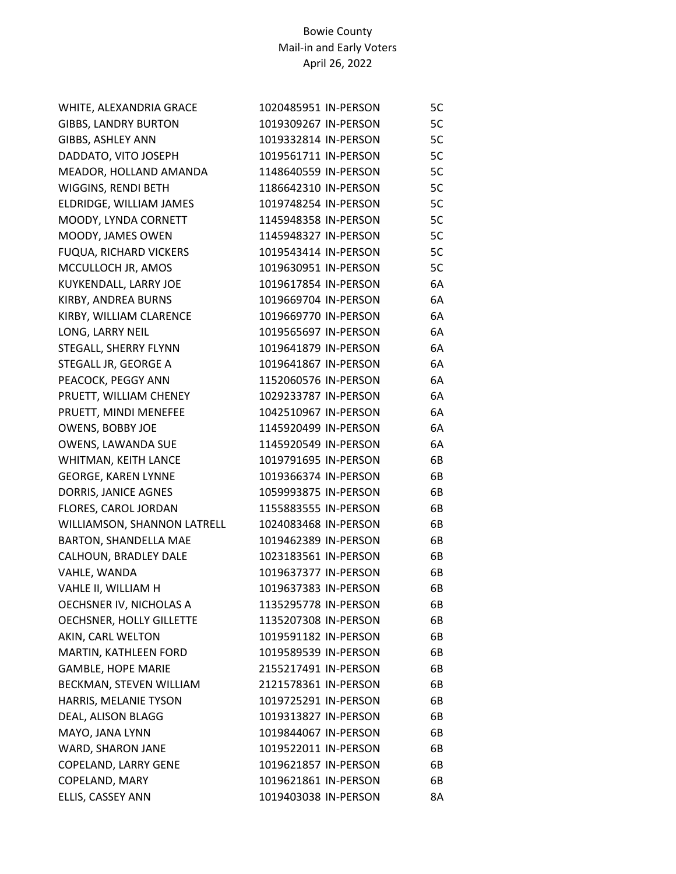| WHITE, ALEXANDRIA GRACE       | 1020485951 IN-PERSON | 5C |
|-------------------------------|----------------------|----|
| <b>GIBBS, LANDRY BURTON</b>   | 1019309267 IN-PERSON | 5C |
| GIBBS, ASHLEY ANN             | 1019332814 IN-PERSON | 5C |
| DADDATO, VITO JOSEPH          | 1019561711 IN-PERSON | 5C |
| MEADOR, HOLLAND AMANDA        | 1148640559 IN-PERSON | 5C |
| WIGGINS, RENDI BETH           | 1186642310 IN-PERSON | 5C |
| ELDRIDGE, WILLIAM JAMES       | 1019748254 IN-PERSON | 5C |
| MOODY, LYNDA CORNETT          | 1145948358 IN-PERSON | 5C |
| MOODY, JAMES OWEN             | 1145948327 IN-PERSON | 5C |
| <b>FUQUA, RICHARD VICKERS</b> | 1019543414 IN-PERSON | 5C |
| MCCULLOCH JR, AMOS            | 1019630951 IN-PERSON | 5C |
| KUYKENDALL, LARRY JOE         | 1019617854 IN-PERSON | 6A |
| KIRBY, ANDREA BURNS           | 1019669704 IN-PERSON | 6A |
| KIRBY, WILLIAM CLARENCE       | 1019669770 IN-PERSON | 6A |
| LONG, LARRY NEIL              | 1019565697 IN-PERSON | 6A |
| STEGALL, SHERRY FLYNN         | 1019641879 IN-PERSON | 6A |
| STEGALL JR, GEORGE A          | 1019641867 IN-PERSON | 6A |
| PEACOCK, PEGGY ANN            | 1152060576 IN-PERSON | 6A |
| PRUETT, WILLIAM CHENEY        | 1029233787 IN-PERSON | 6A |
| PRUETT, MINDI MENEFEE         | 1042510967 IN-PERSON | 6A |
| OWENS, BOBBY JOE              | 1145920499 IN-PERSON | 6A |
| OWENS, LAWANDA SUE            | 1145920549 IN-PERSON | 6A |
| WHITMAN, KEITH LANCE          | 1019791695 IN-PERSON | 6B |
| <b>GEORGE, KAREN LYNNE</b>    | 1019366374 IN-PERSON | 6B |
| DORRIS, JANICE AGNES          | 1059993875 IN-PERSON | 6B |
| FLORES, CAROL JORDAN          | 1155883555 IN-PERSON | 6B |
| WILLIAMSON, SHANNON LATRELL   | 1024083468 IN-PERSON | 6B |
| BARTON, SHANDELLA MAE         | 1019462389 IN-PERSON | 6B |
| CALHOUN, BRADLEY DALE         | 1023183561 IN-PERSON | 6B |
| VAHLE, WANDA                  | 1019637377 IN-PERSON | 6B |
| VAHLE II, WILLIAM H           | 1019637383 IN-PERSON | 6B |
| OECHSNER IV, NICHOLAS A       | 1135295778 IN-PERSON | 6B |
| OECHSNER, HOLLY GILLETTE      | 1135207308 IN-PERSON | 6B |
| AKIN, CARL WELTON             | 1019591182 IN-PERSON | 6B |
| MARTIN, KATHLEEN FORD         | 1019589539 IN-PERSON | 6B |
| <b>GAMBLE, HOPE MARIE</b>     | 2155217491 IN-PERSON | 6B |
| BECKMAN, STEVEN WILLIAM       | 2121578361 IN-PERSON | 6B |
| HARRIS, MELANIE TYSON         | 1019725291 IN-PERSON | 6B |
| DEAL, ALISON BLAGG            | 1019313827 IN-PERSON | 6B |
| MAYO, JANA LYNN               | 1019844067 IN-PERSON | 6B |
| WARD, SHARON JANE             | 1019522011 IN-PERSON | 6B |
| COPELAND, LARRY GENE          | 1019621857 IN-PERSON | 6B |
| COPELAND, MARY                | 1019621861 IN-PERSON | 6B |
| ELLIS, CASSEY ANN             | 1019403038 IN-PERSON | 8Α |
|                               |                      |    |